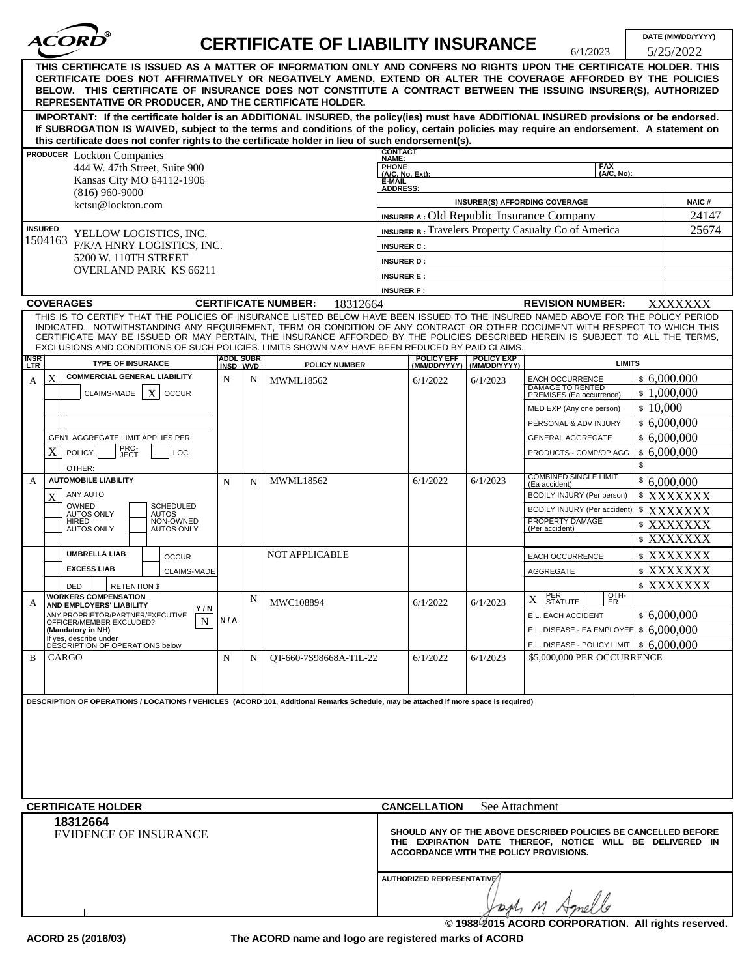| ®<br><i>ACORD</i>                                                                                                                                                                                                                                                                                                                                                                                                                                                                                  |     |                                     | <b>CERTIFICATE OF LIABILITY INSURANCE</b> |                                                                            |                            | 6/1/2023                                                                                                                   | DATE (MM/DD/YYYY)<br>5/25/2022 |       |
|----------------------------------------------------------------------------------------------------------------------------------------------------------------------------------------------------------------------------------------------------------------------------------------------------------------------------------------------------------------------------------------------------------------------------------------------------------------------------------------------------|-----|-------------------------------------|-------------------------------------------|----------------------------------------------------------------------------|----------------------------|----------------------------------------------------------------------------------------------------------------------------|--------------------------------|-------|
| THIS CERTIFICATE IS ISSUED AS A MATTER OF INFORMATION ONLY AND CONFERS NO RIGHTS UPON THE CERTIFICATE HOLDER. THIS<br>CERTIFICATE DOES NOT AFFIRMATIVELY OR NEGATIVELY AMEND, EXTEND OR ALTER THE COVERAGE AFFORDED BY THE POLICIES<br>BELOW. THIS CERTIFICATE OF INSURANCE DOES NOT CONSTITUTE A CONTRACT BETWEEN THE ISSUING INSURER(S), AUTHORIZED<br>REPRESENTATIVE OR PRODUCER. AND THE CERTIFICATE HOLDER.                                                                                   |     |                                     |                                           |                                                                            |                            |                                                                                                                            |                                |       |
| IMPORTANT: If the certificate holder is an ADDITIONAL INSURED, the policy(ies) must have ADDITIONAL INSURED provisions or be endorsed.<br>If SUBROGATION IS WAIVED, subject to the terms and conditions of the policy, certain policies may require an endorsement. A statement on<br>this certificate does not confer rights to the certificate holder in lieu of such endorsement(s).                                                                                                            |     |                                     |                                           |                                                                            |                            |                                                                                                                            |                                |       |
| PRODUCER Lockton Companies                                                                                                                                                                                                                                                                                                                                                                                                                                                                         |     |                                     |                                           | <b>CONTACT</b><br>NAME:                                                    |                            |                                                                                                                            |                                |       |
| 444 W. 47th Street, Suite 900<br>Kansas City MO 64112-1906<br>$(816)$ 960-9000<br>kctsu@lockton.com                                                                                                                                                                                                                                                                                                                                                                                                |     |                                     |                                           | <b>PHONE</b><br>FAX<br>(A/C, No):<br>(A/C, No, Ext):<br>È-MAIL<br>ADDRESS: |                            |                                                                                                                            |                                |       |
|                                                                                                                                                                                                                                                                                                                                                                                                                                                                                                    |     |                                     |                                           |                                                                            |                            | <b>INSURER(S) AFFORDING COVERAGE</b>                                                                                       | <b>NAIC#</b>                   |       |
|                                                                                                                                                                                                                                                                                                                                                                                                                                                                                                    |     |                                     |                                           | <b>INSURER A: Old Republic Insurance Company</b>                           |                            |                                                                                                                            |                                | 24147 |
| <b>INSURED</b><br>YELLOW LOGISTICS, INC.<br>1504163<br>F/K/A HNRY LOGISTICS, INC.<br>5200 W. 110TH STREET<br><b>OVERLAND PARK KS 66211</b>                                                                                                                                                                                                                                                                                                                                                         |     |                                     |                                           | <b>INSURER B:</b> Travelers Property Casualty Co of America                |                            |                                                                                                                            |                                | 25674 |
|                                                                                                                                                                                                                                                                                                                                                                                                                                                                                                    |     |                                     |                                           | <b>INSURER C:</b>                                                          |                            |                                                                                                                            |                                |       |
|                                                                                                                                                                                                                                                                                                                                                                                                                                                                                                    |     |                                     |                                           | <b>INSURER D:</b>                                                          |                            |                                                                                                                            |                                |       |
|                                                                                                                                                                                                                                                                                                                                                                                                                                                                                                    |     |                                     |                                           | <b>INSURER E:</b>                                                          |                            |                                                                                                                            |                                |       |
|                                                                                                                                                                                                                                                                                                                                                                                                                                                                                                    |     |                                     |                                           | <b>INSURER F:</b>                                                          |                            |                                                                                                                            |                                |       |
| <b>COVERAGES</b>                                                                                                                                                                                                                                                                                                                                                                                                                                                                                   |     |                                     | <b>CERTIFICATE NUMBER:</b><br>18312664    |                                                                            |                            | <b>REVISION NUMBER:</b>                                                                                                    | XXXXXXX                        |       |
| THIS IS TO CERTIFY THAT THE POLICIES OF INSURANCE LISTED BELOW HAVE BEEN ISSUED TO THE INSURED NAMED ABOVE FOR THE POLICY PERIOD<br>INDICATED. NOTWITHSTANDING ANY REQUIREMENT, TERM OR CONDITION OF ANY CONTRACT OR OTHER DOCUMENT WITH RESPECT TO WHICH THIS<br>CERTIFICATE MAY BE ISSUED OR MAY PERTAIN, THE INSURANCE AFFORDED BY THE POLICIES DESCRIBED HEREIN IS SUBJECT TO ALL THE TERMS,<br>EXCLUSIONS AND CONDITIONS OF SUCH POLICIES. LIMITS SHOWN MAY HAVE BEEN REDUCED BY PAID CLAIMS. |     |                                     |                                           |                                                                            |                            |                                                                                                                            |                                |       |
| <b>INSR</b><br><b>TYPE OF INSURANCE</b>                                                                                                                                                                                                                                                                                                                                                                                                                                                            |     | <b>ADDL SUBR</b><br><b>INSD WVD</b> | <b>POLICY NUMBER</b>                      | POLICY EFF<br>(MM/DD/YYYY)                                                 | POLICY EXP<br>(MM/DD/YYYY) | <b>LIMITS</b>                                                                                                              |                                |       |
| <b>COMMERCIAL GENERAL LIABILITY</b><br>X<br>A                                                                                                                                                                                                                                                                                                                                                                                                                                                      | N   | N                                   | <b>MWML18562</b>                          | 6/1/2022                                                                   | 6/1/2023                   | <b>EACH OCCURRENCE</b>                                                                                                     | \$6,000,000                    |       |
| X<br>CLAIMS-MADE<br><b>OCCUR</b>                                                                                                                                                                                                                                                                                                                                                                                                                                                                   |     |                                     |                                           |                                                                            |                            | <b>DAMAGE TO RENTED</b><br>PREMISES (Ea occurrence)                                                                        | \$1,000,000                    |       |
|                                                                                                                                                                                                                                                                                                                                                                                                                                                                                                    |     |                                     |                                           |                                                                            |                            | MED EXP (Any one person)                                                                                                   | \$10,000                       |       |
|                                                                                                                                                                                                                                                                                                                                                                                                                                                                                                    |     |                                     |                                           |                                                                            |                            | PERSONAL & ADV INJURY                                                                                                      | \$6,000,000                    |       |
| <b>GEN'L AGGREGATE LIMIT APPLIES PER:</b>                                                                                                                                                                                                                                                                                                                                                                                                                                                          |     |                                     |                                           |                                                                            |                            | <b>GENERAL AGGREGATE</b>                                                                                                   | \$6,000,000                    |       |
| PRO-<br>JECT<br>X<br>POLICY<br>LOC                                                                                                                                                                                                                                                                                                                                                                                                                                                                 |     |                                     |                                           |                                                                            |                            | PRODUCTS - COMP/OP AGG                                                                                                     | \$6,000,000                    |       |
| OTHER:                                                                                                                                                                                                                                                                                                                                                                                                                                                                                             |     |                                     |                                           |                                                                            |                            |                                                                                                                            | \$                             |       |
| <b>AUTOMOBILE LIABILITY</b><br>A                                                                                                                                                                                                                                                                                                                                                                                                                                                                   | N   | N                                   | <b>MWML18562</b>                          | 6/1/2022                                                                   | 6/1/2023                   | <b>COMBINED SINGLE LIMIT</b>                                                                                               | \$6,000,000                    |       |
| ANY AUTO<br>X                                                                                                                                                                                                                                                                                                                                                                                                                                                                                      |     |                                     |                                           |                                                                            |                            | (Ea accident)<br>BODILY INJURY (Per person)                                                                                |                                |       |
| OWNED<br><b>SCHEDULED</b>                                                                                                                                                                                                                                                                                                                                                                                                                                                                          |     |                                     |                                           |                                                                            |                            | BODILY INJURY (Per accident)                                                                                               | \$XXXXXXX                      |       |
| <b>AUTOS ONLY</b><br><b>AUTOS</b><br>NON-OWNED<br>HIRED                                                                                                                                                                                                                                                                                                                                                                                                                                            |     |                                     |                                           |                                                                            |                            | PROPERTY DAMAGE                                                                                                            | \$XXXXXXX<br>\$ XXXXXXX        |       |
| <b>AUTOS ONLY</b><br><b>AUTOS ONLY</b>                                                                                                                                                                                                                                                                                                                                                                                                                                                             |     |                                     |                                           |                                                                            |                            | (Per accident)                                                                                                             | \$ XXXXXXX                     |       |
| <b>UMBRELLA LIAB</b>                                                                                                                                                                                                                                                                                                                                                                                                                                                                               |     |                                     | NOT APPLICABLE                            |                                                                            |                            |                                                                                                                            |                                |       |
| <b>OCCUR</b><br><b>EXCESS LIAB</b>                                                                                                                                                                                                                                                                                                                                                                                                                                                                 |     |                                     |                                           |                                                                            |                            | <b>EACH OCCURRENCE</b>                                                                                                     | \$ XXXXXXX                     |       |
| <b>CLAIMS-MADE</b>                                                                                                                                                                                                                                                                                                                                                                                                                                                                                 |     |                                     |                                           |                                                                            |                            | AGGREGATE                                                                                                                  | \$ XXXXXXX                     |       |
| DED<br><b>RETENTION \$</b><br><b>WORKERS COMPENSATION</b>                                                                                                                                                                                                                                                                                                                                                                                                                                          |     |                                     |                                           |                                                                            |                            |                                                                                                                            | \$ XXXXXXX                     |       |
| A<br>AND EMPLOYERS' LIABILITY<br>Y/N                                                                                                                                                                                                                                                                                                                                                                                                                                                               |     | N                                   | MWC108894                                 | 6/1/2022                                                                   | 6/1/2023                   | $\frac{QTH}{ER}$<br>$X$ STATUTE                                                                                            |                                |       |
| ANY PROPRIETOR/PARTNER/EXECUTIVE<br>N<br>OFFICER/MEMBER EXCLUDED?                                                                                                                                                                                                                                                                                                                                                                                                                                  | N/A |                                     |                                           |                                                                            |                            | E.L. EACH ACCIDENT                                                                                                         | \$6,000,000                    |       |
| (Mandatory in NH)<br>If yes, describe under                                                                                                                                                                                                                                                                                                                                                                                                                                                        |     |                                     |                                           |                                                                            |                            | E.L. DISEASE - EA EMPLOYEE $\vert 5, 6, 000, 000 \rangle$                                                                  |                                |       |
| DÉSCRIPTION OF OPERATIONS below                                                                                                                                                                                                                                                                                                                                                                                                                                                                    |     |                                     |                                           |                                                                            |                            | E.L. DISEASE - POLICY LIMIT $\vert$ \$ 6,000,000                                                                           |                                |       |
| CARGO<br>B                                                                                                                                                                                                                                                                                                                                                                                                                                                                                         | N   | N                                   | OT-660-7S98668A-TIL-22                    | 6/1/2022                                                                   | 6/1/2023                   | \$5,000,000 PER OCCURRENCE                                                                                                 |                                |       |
|                                                                                                                                                                                                                                                                                                                                                                                                                                                                                                    |     |                                     |                                           |                                                                            |                            |                                                                                                                            |                                |       |
| DESCRIPTION OF OPERATIONS / LOCATIONS / VEHICLES (ACORD 101, Additional Remarks Schedule, may be attached if more space is required)                                                                                                                                                                                                                                                                                                                                                               |     |                                     |                                           |                                                                            |                            |                                                                                                                            |                                |       |
|                                                                                                                                                                                                                                                                                                                                                                                                                                                                                                    |     |                                     |                                           |                                                                            |                            |                                                                                                                            |                                |       |
|                                                                                                                                                                                                                                                                                                                                                                                                                                                                                                    |     |                                     |                                           |                                                                            |                            |                                                                                                                            |                                |       |
|                                                                                                                                                                                                                                                                                                                                                                                                                                                                                                    |     |                                     |                                           |                                                                            |                            |                                                                                                                            |                                |       |
|                                                                                                                                                                                                                                                                                                                                                                                                                                                                                                    |     |                                     |                                           |                                                                            |                            |                                                                                                                            |                                |       |
|                                                                                                                                                                                                                                                                                                                                                                                                                                                                                                    |     |                                     |                                           |                                                                            |                            |                                                                                                                            |                                |       |
|                                                                                                                                                                                                                                                                                                                                                                                                                                                                                                    |     |                                     |                                           |                                                                            |                            |                                                                                                                            |                                |       |
| <b>CERTIFICATE HOLDER</b>                                                                                                                                                                                                                                                                                                                                                                                                                                                                          |     |                                     |                                           | <b>CANCELLATION</b>                                                        | See Attachment             |                                                                                                                            |                                |       |
| 18312664                                                                                                                                                                                                                                                                                                                                                                                                                                                                                           |     |                                     |                                           |                                                                            |                            |                                                                                                                            |                                |       |
| <b>EVIDENCE OF INSURANCE</b>                                                                                                                                                                                                                                                                                                                                                                                                                                                                       |     |                                     |                                           | <b>ACCORDANCE WITH THE POLICY PROVISIONS.</b>                              |                            | SHOULD ANY OF THE ABOVE DESCRIBED POLICIES BE CANCELLED BEFORE<br>THE EXPIRATION DATE THEREOF, NOTICE WILL BE DELIVERED IN |                                |       |
|                                                                                                                                                                                                                                                                                                                                                                                                                                                                                                    |     |                                     |                                           |                                                                            |                            |                                                                                                                            |                                |       |
|                                                                                                                                                                                                                                                                                                                                                                                                                                                                                                    |     |                                     |                                           | <b>AUTHORIZED REPRESENTATIVE</b>                                           |                            |                                                                                                                            |                                |       |
|                                                                                                                                                                                                                                                                                                                                                                                                                                                                                                    |     |                                     |                                           |                                                                            |                            |                                                                                                                            |                                |       |
|                                                                                                                                                                                                                                                                                                                                                                                                                                                                                                    |     |                                     |                                           |                                                                            |                            |                                                                                                                            |                                |       |
|                                                                                                                                                                                                                                                                                                                                                                                                                                                                                                    |     |                                     |                                           |                                                                            |                            | © 1988-2015 ACORD CORPORATION. All rights reserved.                                                                        |                                |       |

**ACORD 25 (2016/03) The ACORD name and logo are registered marks of ACORD**